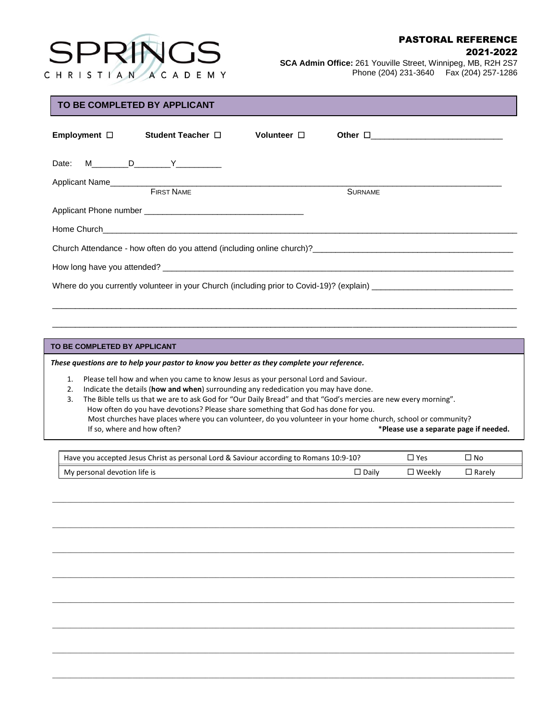

## PASTORAL REFERENCE

#### 2021-2022

**SCA Admin Office:** 261 Youville Street, Winnipeg, MB, R2H 2S7 Phone (204) 231-3640 Fax (204) 257-1286

## **TO BE COMPLETED BY APPLICANT**

|                                                                                                                                                      | Employment □ Student Teacher □ | Volunteer $\Box$ | Other <u>D</u> |  |  |
|------------------------------------------------------------------------------------------------------------------------------------------------------|--------------------------------|------------------|----------------|--|--|
| Date: M_________D___________Y_____________                                                                                                           |                                |                  |                |  |  |
|                                                                                                                                                      |                                |                  |                |  |  |
|                                                                                                                                                      | <b>FIRST NAME</b>              |                  | <b>SURNAME</b> |  |  |
|                                                                                                                                                      |                                |                  |                |  |  |
|                                                                                                                                                      |                                |                  |                |  |  |
| Church Attendance - how often do you attend (including online church)?<br>The church Attendance - how often do you attend (including online church)? |                                |                  |                |  |  |
|                                                                                                                                                      |                                |                  |                |  |  |
|                                                                                                                                                      |                                |                  |                |  |  |

\_\_\_\_\_\_\_\_\_\_\_\_\_\_\_\_\_\_\_\_\_\_\_\_\_\_\_\_\_\_\_\_\_\_\_\_\_\_\_\_\_\_\_\_\_\_\_\_\_\_\_\_\_\_\_\_\_\_\_\_\_\_\_\_\_\_\_\_\_\_\_\_\_\_\_\_\_\_\_\_\_\_\_\_\_\_\_\_\_\_\_\_\_\_\_\_\_\_\_\_\_\_

\_\_\_\_\_\_\_\_\_\_\_\_\_\_\_\_\_\_\_\_\_\_\_\_\_\_\_\_\_\_\_\_\_\_\_\_\_\_\_\_\_\_\_\_\_\_\_\_\_\_\_\_\_\_\_\_\_\_\_\_\_\_\_\_\_\_\_\_\_\_\_\_\_\_\_\_\_\_\_\_\_\_\_\_\_\_\_\_\_\_\_\_\_\_\_\_\_\_\_\_\_\_

#### **TO BE COMPLETED BY APPLICANT**

 $\overline{a}$ 

*These questions are to help your pastor to know you better as they complete your reference.* 

1. Please tell how and when you came to know Jesus as your personal Lord and Saviour.

- 2. Indicate the details (**how and when**) surrounding any rededication you may have done.
- 3. The Bible tells us that we are to ask God for "Our Daily Bread" and that "God's mercies are new every morning". How often do you have devotions? Please share something that God has done for you. Most churches have places where you can volunteer, do you volunteer in your home church, school or community? If so, where and how often? \***Please use a separate page if needed.**

| Have you accepted Jesus Christ as personal Lord & Saviour according to Romans 10:9-10? | `Yes    | ⊐ No     |          |
|----------------------------------------------------------------------------------------|---------|----------|----------|
| My personal devotion life is                                                           | □ Dailv | ' Weeklv | ⊔ Rarelv |

\_\_\_\_\_\_\_\_\_\_\_\_\_\_\_\_\_\_\_\_\_\_\_\_\_\_\_\_\_\_\_\_\_\_\_\_\_\_\_\_\_\_\_\_\_\_\_\_\_\_\_\_\_\_\_\_\_\_\_\_\_\_\_\_\_\_\_\_\_\_\_\_\_\_\_\_\_\_\_\_\_\_\_\_\_\_\_\_\_\_\_\_\_\_\_\_\_\_\_\_\_\_\_\_\_\_\_\_\_\_\_\_\_\_\_\_\_\_\_\_\_\_\_\_\_\_\_

\_\_\_\_\_\_\_\_\_\_\_\_\_\_\_\_\_\_\_\_\_\_\_\_\_\_\_\_\_\_\_\_\_\_\_\_\_\_\_\_\_\_\_\_\_\_\_\_\_\_\_\_\_\_\_\_\_\_\_\_\_\_\_\_\_\_\_\_\_\_\_\_\_\_\_\_\_\_\_\_\_\_\_\_\_\_\_\_\_\_\_\_\_\_\_\_\_\_\_\_\_\_\_\_\_\_\_\_\_\_\_\_\_\_\_\_\_\_\_\_\_\_\_\_\_\_\_

\_\_\_\_\_\_\_\_\_\_\_\_\_\_\_\_\_\_\_\_\_\_\_\_\_\_\_\_\_\_\_\_\_\_\_\_\_\_\_\_\_\_\_\_\_\_\_\_\_\_\_\_\_\_\_\_\_\_\_\_\_\_\_\_\_\_\_\_\_\_\_\_\_\_\_\_\_\_\_\_\_\_\_\_\_\_\_\_\_\_\_\_\_\_\_\_\_\_\_\_\_\_\_\_\_\_\_\_\_\_\_\_\_\_\_\_\_\_\_\_\_\_\_\_\_\_\_

\_\_\_\_\_\_\_\_\_\_\_\_\_\_\_\_\_\_\_\_\_\_\_\_\_\_\_\_\_\_\_\_\_\_\_\_\_\_\_\_\_\_\_\_\_\_\_\_\_\_\_\_\_\_\_\_\_\_\_\_\_\_\_\_\_\_\_\_\_\_\_\_\_\_\_\_\_\_\_\_\_\_\_\_\_\_\_\_\_\_\_\_\_\_\_\_\_\_\_\_\_\_\_\_\_\_\_\_\_\_\_\_\_\_\_\_\_\_\_\_\_\_\_\_\_\_\_

\_\_\_\_\_\_\_\_\_\_\_\_\_\_\_\_\_\_\_\_\_\_\_\_\_\_\_\_\_\_\_\_\_\_\_\_\_\_\_\_\_\_\_\_\_\_\_\_\_\_\_\_\_\_\_\_\_\_\_\_\_\_\_\_\_\_\_\_\_\_\_\_\_\_\_\_\_\_\_\_\_\_\_\_\_\_\_\_\_\_\_\_\_\_\_\_\_\_\_\_\_\_\_\_\_\_\_\_\_\_\_\_\_\_\_\_\_\_\_\_\_\_\_\_\_\_\_

\_\_\_\_\_\_\_\_\_\_\_\_\_\_\_\_\_\_\_\_\_\_\_\_\_\_\_\_\_\_\_\_\_\_\_\_\_\_\_\_\_\_\_\_\_\_\_\_\_\_\_\_\_\_\_\_\_\_\_\_\_\_\_\_\_\_\_\_\_\_\_\_\_\_\_\_\_\_\_\_\_\_\_\_\_\_\_\_\_\_\_\_\_\_\_\_\_\_\_\_\_\_\_\_\_\_\_\_\_\_\_\_\_\_\_\_\_\_\_\_\_\_\_\_\_\_\_

\_\_\_\_\_\_\_\_\_\_\_\_\_\_\_\_\_\_\_\_\_\_\_\_\_\_\_\_\_\_\_\_\_\_\_\_\_\_\_\_\_\_\_\_\_\_\_\_\_\_\_\_\_\_\_\_\_\_\_\_\_\_\_\_\_\_\_\_\_\_\_\_\_\_\_\_\_\_\_\_\_\_\_\_\_\_\_\_\_\_\_\_\_\_\_\_\_\_\_\_\_\_\_\_\_\_\_\_\_\_\_\_\_\_\_\_\_\_\_\_\_\_\_\_\_\_\_

\_\_\_\_\_\_\_\_\_\_\_\_\_\_\_\_\_\_\_\_\_\_\_\_\_\_\_\_\_\_\_\_\_\_\_\_\_\_\_\_\_\_\_\_\_\_\_\_\_\_\_\_\_\_\_\_\_\_\_\_\_\_\_\_\_\_\_\_\_\_\_\_\_\_\_\_\_\_\_\_\_\_\_\_\_\_\_\_\_\_\_\_\_\_\_\_\_\_\_\_\_\_\_\_\_\_\_\_\_\_\_\_\_\_\_\_\_\_\_\_\_\_\_\_\_\_\_